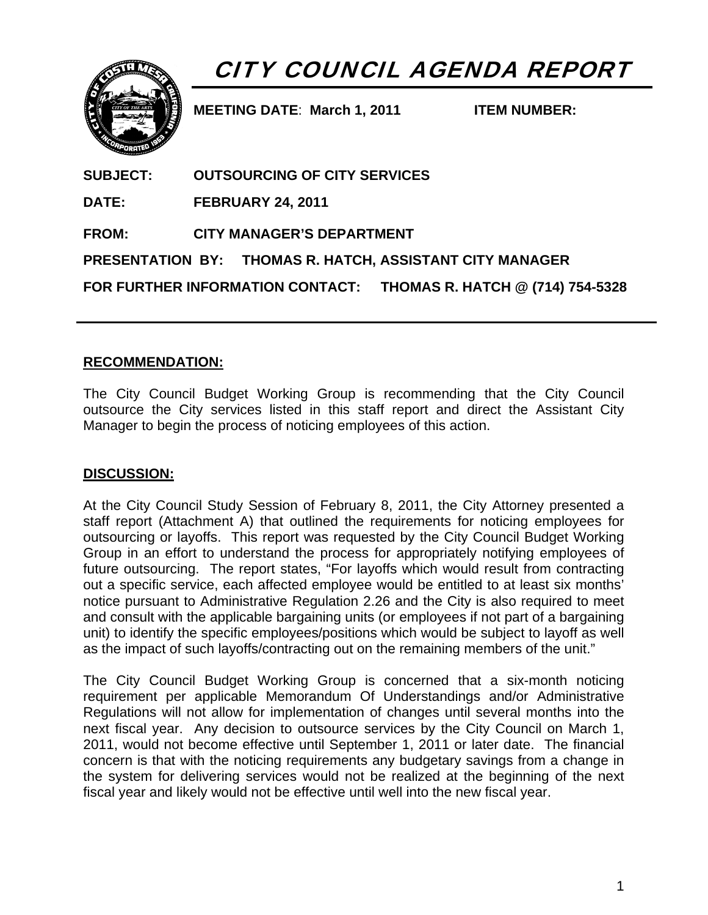

# CITY COUNCIL AGENDA REPORT

**MEETING DATE**: **March 1, 2011 ITEM NUMBER:** 

| <b>SUBJECT:</b> | <b>OUTSOURCING OF CITY SERVICES</b>                               |
|-----------------|-------------------------------------------------------------------|
| <b>DATE:</b>    | <b>FEBRUARY 24, 2011</b>                                          |
| <b>FROM:</b>    | <b>CITY MANAGER'S DEPARTMENT</b>                                  |
|                 | PRESENTATION BY: THOMAS R. HATCH, ASSISTANT CITY MANAGER          |
|                 | FOR FURTHER INFORMATION CONTACT: THOMAS R. HATCH @ (714) 754-5328 |

## **RECOMMENDATION:**

The City Council Budget Working Group is recommending that the City Council outsource the City services listed in this staff report and direct the Assistant City Manager to begin the process of noticing employees of this action.

#### **DISCUSSION:**

At the City Council Study Session of February 8, 2011, the City Attorney presented a staff report (Attachment A) that outlined the requirements for noticing employees for outsourcing or layoffs. This report was requested by the City Council Budget Working Group in an effort to understand the process for appropriately notifying employees of future outsourcing. The report states, "For layoffs which would result from contracting out a specific service, each affected employee would be entitled to at least six months' notice pursuant to Administrative Regulation 2.26 and the City is also required to meet and consult with the applicable bargaining units (or employees if not part of a bargaining unit) to identify the specific employees/positions which would be subject to layoff as well as the impact of such layoffs/contracting out on the remaining members of the unit."

The City Council Budget Working Group is concerned that a six-month noticing requirement per applicable Memorandum Of Understandings and/or Administrative Regulations will not allow for implementation of changes until several months into the next fiscal year. Any decision to outsource services by the City Council on March 1, 2011, would not become effective until September 1, 2011 or later date. The financial concern is that with the noticing requirements any budgetary savings from a change in the system for delivering services would not be realized at the beginning of the next fiscal year and likely would not be effective until well into the new fiscal year.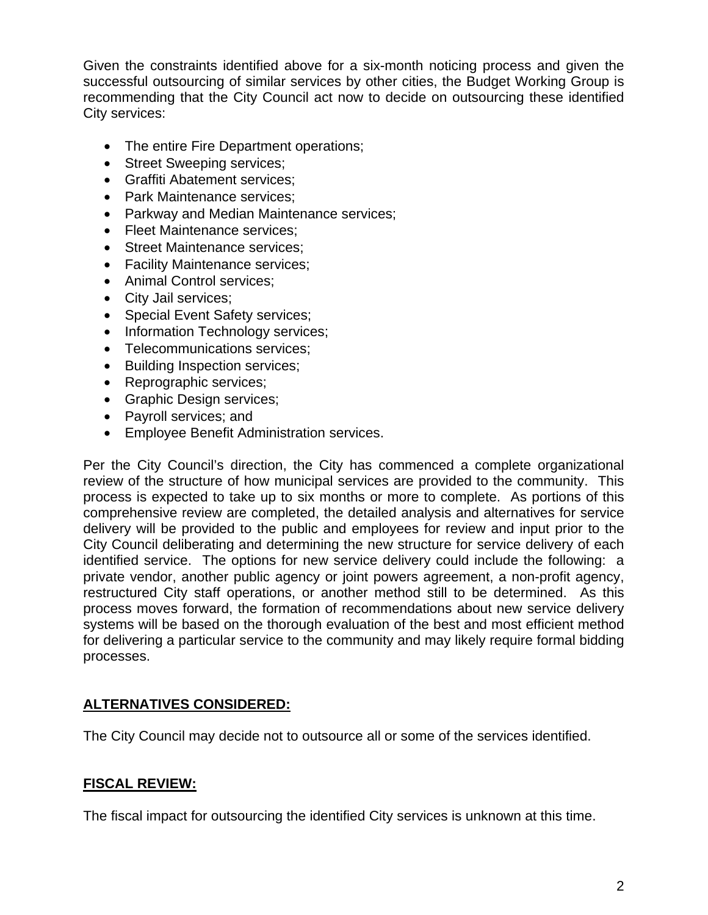Given the constraints identified above for a six-month noticing process and given the successful outsourcing of similar services by other cities, the Budget Working Group is recommending that the City Council act now to decide on outsourcing these identified City services:

- The entire Fire Department operations;
- Street Sweeping services;
- Graffiti Abatement services;
- Park Maintenance services;
- Parkway and Median Maintenance services;
- Fleet Maintenance services;
- Street Maintenance services:
- Facility Maintenance services;
- Animal Control services;
- City Jail services;
- Special Event Safety services;
- Information Technology services;
- Telecommunications services;
- Building Inspection services;
- Reprographic services;
- Graphic Design services;
- Payroll services; and
- Employee Benefit Administration services.

Per the City Council's direction, the City has commenced a complete organizational review of the structure of how municipal services are provided to the community. This process is expected to take up to six months or more to complete. As portions of this comprehensive review are completed, the detailed analysis and alternatives for service delivery will be provided to the public and employees for review and input prior to the City Council deliberating and determining the new structure for service delivery of each identified service. The options for new service delivery could include the following: a private vendor, another public agency or joint powers agreement, a non-profit agency, restructured City staff operations, or another method still to be determined. As this process moves forward, the formation of recommendations about new service delivery systems will be based on the thorough evaluation of the best and most efficient method for delivering a particular service to the community and may likely require formal bidding processes.

#### **ALTERNATIVES CONSIDERED:**

The City Council may decide not to outsource all or some of the services identified.

# **FISCAL REVIEW:**

The fiscal impact for outsourcing the identified City services is unknown at this time.